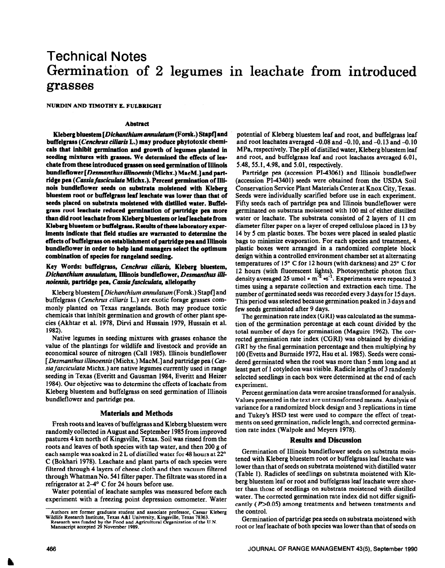# Technical Notes **Germination of 2 legumes in leachate from introduced grasses**

NURDIN **AND TIMOTHY** E. FULBRIGHT

#### Abstract

**Kleberg bluestem** *[Dichmthium annuktum* **(Forsk.) StaprJ and**  buffelgrass (Cenchrus ciliaris L.) may produce phytotoxic chemicals that inhibit germination and growth of legumes planted in seeding mixtures with grasses. We determined the effects of lea**cbate from these introduced grasses on seed germination of Illinois**  bundleflower [*Desmanthus illinoensis* (Michx.) MacM.] and partridge pea (*Cassia fasciculata* Michx.). Percent germination of Illi**nois bundleflower seeds on substrata moistened with Kleberg bluestem root or buffelgrass leaf leacbate was lower than that of seeds placed on substrata moistened with distilled water. Buffelgrass root Ieacbate reduced germination of partridge pea more than did root leacbate from Kleberg bluestem or leafleacbate from Kleberg bluestem or buffelgrass. Results of these laboratory exper**iments indicate that field studies are warranted to determine the **effects of buffelgrass on establishment of partridge pea and Illinois bundleflower in order to help land managers select the optimum combination of species for rangeland seeding.** 

# Key Words: buffelgrass, Cenchrus ciliaris, Kleberg bluestem, *Dichanthium annulatum,* **Illinois bundleflower,** *Desmanthus illinoiensis, partridge pea, Cassia fasciculata, allelopathy*

Kleberg bluestem [Dichanthium *annulutum* (Forsk.) **Stspfl** and buffelgrass *(Cenchrus ciliuris* L.) are exotic forage grasses commonly planted on Texas rangelands. Both may produce toxic chemicals that inhibit germination and growth of other plant species (Akhtar et al. 1978, Dirvi and Hussain 1979, Hussain et al. 1982).

Native legumes in seeding mixtures with grasses enhance the value of the plantings for wildlife and livestock and provide an economical source of nitrogen (Call 1985). Illinois bundleflower [ *Desmanthus illinoensis* (Michx.) MacM.] and partridge pea *(Cassia fasciculufu* Michx.) are native legumes currently used in range seeding in Texas (Everitt and Gausman 1984, Everitt and Heizer 1984). Our objective was to determine the effects of leachate from Kleberg bluestem and buffelgrass on seed germination of Illinois bundleflower and partridge pea.

## **Materials and Methods**

Fresh roots and leaves of buffelgrass and Kleberg bluestem were randomly collected in August and September 1985 from improved pastures 4 km north of Kingsville, Texas. Soil was rinsed from the roots and leaves of both species with tap water, and then 200 g of each sample was soaked in 2 L of distilled water for 48 hours at 22' C (Bokhari 1978). Leachate and plant parts of each species were filtered through 4 layers of cheese cloth and then vacuum filtered through Whatman No. 541 filter paper. The filtrate was stored in a refrigerator at  $2-4^{\circ}$  C for 24 hours before use.

Water potential of leachate samples was measured before each experiment with a freezing point depression osmometer. Water potential of Kleberg bluestem leaf and root, and buffelgrass leaf and root leachates averaged -0.08 and -0.10, and -0.13 and -0.10 MPa, respectively. The pH of distilled water, Kleberg bluestem leaf and root, and buffelgrass leaf and root leachates averaged 6.01, 5.48, 55.1,4.98, and 5.01, respectively.

Partridge pea (accession PI-43061) and Illinois bundleflwer (accession PI-43401) seeds were obtained from the USDA Soil Conservation Service Plant Materials Center at Knox City, Texas. Seeds were individually scarified before use in each experiment. Fifty seeds each of partridge pea and Illinois bundleflower were germinated on substrata moistened with 100 ml of either distilled water or leachate. The substrata consisted of 2 layers of 11 cm diameter filter paper on a layer of creped cellulose placed in 13 by 14 by 5 cm plastic boxes. The boxes were placed in sealed plastic bags to minimize evaporation. For each species and treatment, 4 plastic boxes were arranged in a randomized complete block design within a controlled environment chamber set at alternating temperatures of 15 $\degree$  C for 12 hours (with darkness) and 25 $\degree$  C for 12 hours (with fluorescent lights). Photosynthetic photon flux density averaged 25 umol  $\cdot$  m<sup>-2</sup>  $\cdot$ s<sup>-1</sup>. Experiments were repeated 3 times using a separate collection and extraction each time. The number of germinated seeds was recorded every 3 days for 15 days. This period was selected because germination peaked in 3 days and few seeds germinated after 9 days.

The germination rate index (GRI) was calculated as the summation of the germination percentage at each count divided by the total number of days for germination (Maguire 1962). The corrected germination rate index (CGRI) was obtained by dividing GRI by the final germination percentage and then multiplying by 100 (Evetts and Bumside 1972, Hsu et al. 1985). Seeds were considered germinated when the root was more than 5 mm long and at least part of 1 cotyledon was visible. Radicle lengths of 3 randomly selected seedlings in each box were determined at the end of each experiment.

Percent germination data were arcsine transformed for analysis. Values presented in the text are untransformed means. Analysis of variance for a randomized block design and 3 replications in time and Tukey's HSD test were used to compare the effect of treatments on seed germination, radicle length, and corrected germination rate index (Walpole and Meyers 1978).

## **Results and Discussion**

Germination of Illinois bundleflower seeds on substrata moistened with Kleberg bluestem root or buffelgrass leaf leachate was lower than that of seeds on substrata moistened with distilled water (Table 1). Radicles of seedlings on substrata moistened with Kleberg bluestem leaf or root and buffelgrass leaf leachate were shorter than those of seedlings on substrata moistened with distilled water. The corrected germination rate index did not differ significantly ( $P > 0.05$ ) among treatments and between treatments and the control.

Germination of partridge pea seeds on substrata moistened with root or leaf leachate of both species was lower than that of seeds on

**Authors arc former graduate student and associate professor, Caesar Kleberg**  Wildlife Research Institute, Texas A&I University, Kingsville, Texas 78363.<br>Research was funded by the Food and Agricultural Organization of the U.N.<br>Manuscript accepted 29 November 1989.